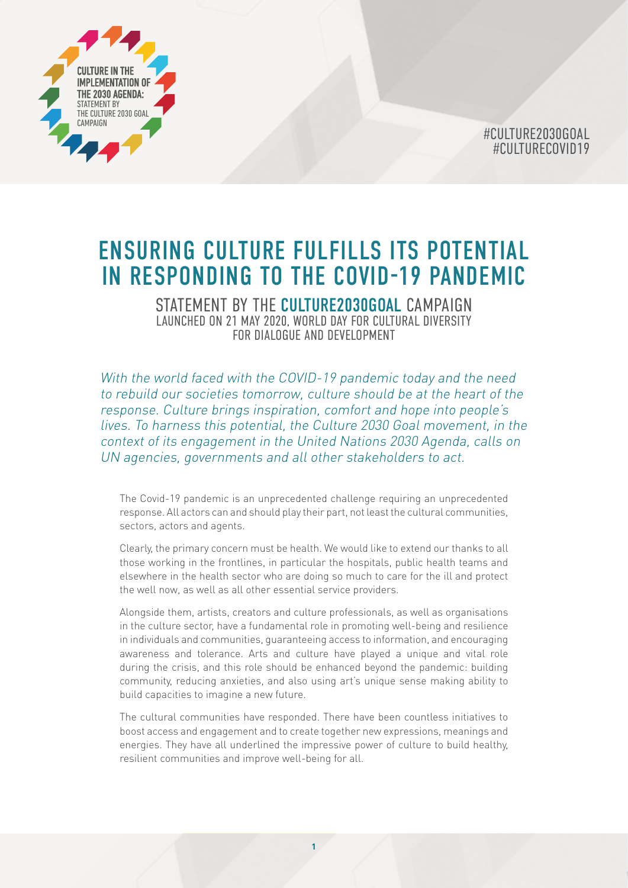

# ENSURING CULTURE FULFILLS ITS POTENTIAL IN RESPONDING TO THE COVID-19 PANDEMIC

STATEMENT BY THE CULTURE2030GOAL CAMPAIGN LAUNCHED ON 21 MAY 2020, WORLD DAY FOR CULTURAL DIVERSITY FOR DIALOGUE AND DEVELOPMENT

With the world faced with the COVID-19 pandemic today and the need to rebuild our societies tomorrow, culture should be at the heart of the response. Culture brings inspiration, comfort and hope into people's lives. To harness this potential, the Culture 2030 Goal movement, in the context of its engagement in the United Nations 2030 Agenda, calls on UN agencies, governments and all other stakeholders to act.

The Covid-19 pandemic is an unprecedented challenge requiring an unprecedented response. All actors can and should play their part, not least the cultural communities, sectors, actors and agents.

Clearly, the primary concern must be health. We would like to extend our thanks to all those working in the frontlines, in particular the hospitals, public health teams and elsewhere in the health sector who are doing so much to care for the ill and protect the well now, as well as all other essential service providers.

Alongside them, artists, creators and culture professionals, as well as organisations in the culture sector, have a fundamental role in promoting well-being and resilience in individuals and communities, guaranteeing access to information, and encouraging awareness and tolerance. Arts and culture have played a unique and vital role during the crisis, and this role should be enhanced beyond the pandemic: building community, reducing anxieties, and also using art's unique sense making ability to build capacities to imagine a new future.

The cultural communities have responded. There have been countless initiatives to boost access and engagement and to create together new expressions, meanings and energies. They have all underlined the impressive power of culture to build healthy, resilient communities and improve well-being for all.

**1**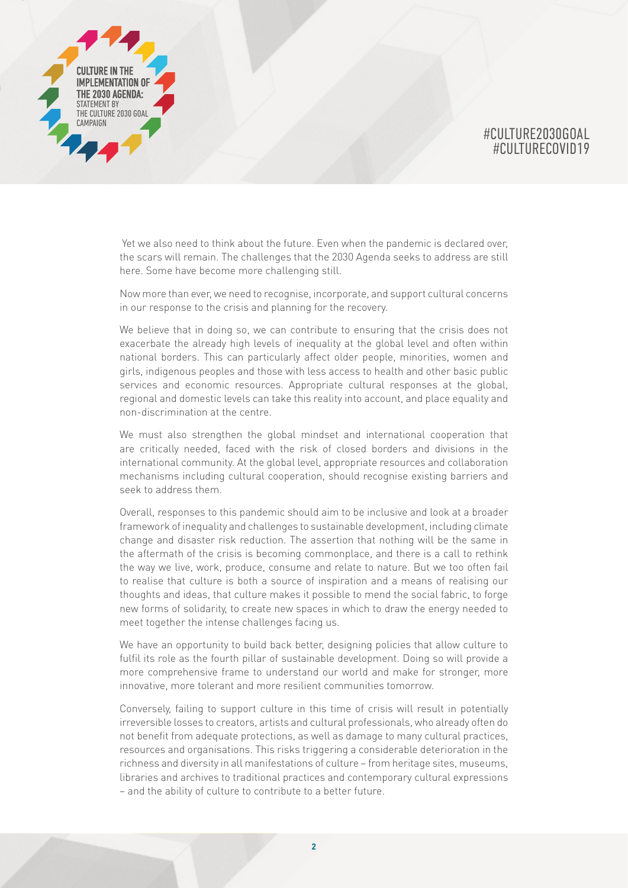

 Yet we also need to think about the future. Even when the pandemic is declared over, the scars will remain. The challenges that the 2030 Agenda seeks to address are still here. Some have become more challenging still.

Now more than ever, we need to recognise, incorporate, and support cultural concerns in our response to the crisis and planning for the recovery.

We believe that in doing so, we can contribute to ensuring that the crisis does not exacerbate the already high levels of inequality at the global level and often within national borders. This can particularly affect older people, minorities, women and girls, indigenous peoples and those with less access to health and other basic public services and economic resources. Appropriate cultural responses at the global, regional and domestic levels can take this reality into account, and place equality and non-discrimination at the centre.

We must also strengthen the global mindset and international cooperation that are critically needed, faced with the risk of closed borders and divisions in the international community. At the global level, appropriate resources and collaboration mechanisms including cultural cooperation, should recognise existing barriers and seek to address them.

Overall, responses to this pandemic should aim to be inclusive and look at a broader framework of inequality and challenges to sustainable development, including climate change and disaster risk reduction. The assertion that nothing will be the same in the aftermath of the crisis is becoming commonplace, and there is a call to rethink the way we live, work, produce, consume and relate to nature. But we too often fail to realise that culture is both a source of inspiration and a means of realising our thoughts and ideas, that culture makes it possible to mend the social fabric, to forge new forms of solidarity, to create new spaces in which to draw the energy needed to meet together the intense challenges facing us.

We have an opportunity to build back better, designing policies that allow culture to fulfil its role as the fourth pillar of sustainable development. Doing so will provide a more comprehensive frame to understand our world and make for stronger, more innovative, more tolerant and more resilient communities tomorrow.

Conversely, failing to support culture in this time of crisis will result in potentially irreversible losses to creators, artists and cultural professionals, who already often do not benefit from adequate protections, as well as damage to many cultural practices, resources and organisations. This risks triggering a considerable deterioration in the richness and diversity in all manifestations of culture – from heritage sites, museums, libraries and archives to traditional practices and contemporary cultural expressions – and the ability of culture to contribute to a better future.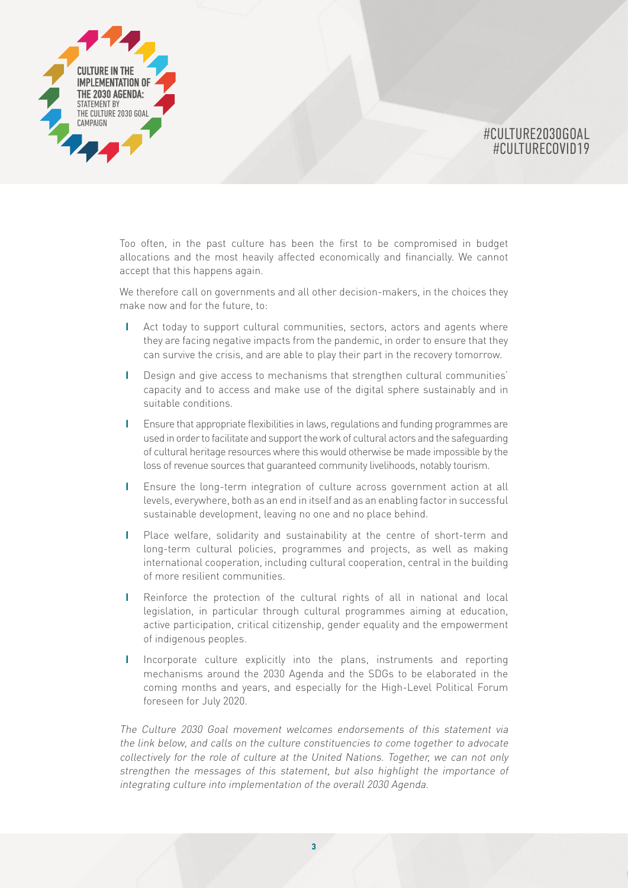

Too often, in the past culture has been the first to be compromised in budget allocations and the most heavily affected economically and financially. We cannot accept that this happens again.

We therefore call on governments and all other decision-makers, in the choices they make now and for the future, to:

- **I** Act today to support cultural communities, sectors, actors and agents where they are facing negative impacts from the pandemic, in order to ensure that they can survive the crisis, and are able to play their part in the recovery tomorrow.
- **I** Design and give access to mechanisms that strengthen cultural communities' capacity and to access and make use of the digital sphere sustainably and in suitable conditions.
- **I** Ensure that appropriate flexibilities in laws, regulations and funding programmes are used in order to facilitate and support the work of cultural actors and the safeguarding of cultural heritage resources where this would otherwise be made impossible by the loss of revenue sources that guaranteed community livelihoods, notably tourism.
- **I** Ensure the long-term integration of culture across government action at all levels, everywhere, both as an end in itself and as an enabling factor in successful sustainable development, leaving no one and no place behind.
- **I** Place welfare, solidarity and sustainability at the centre of short-term and long-term cultural policies, programmes and projects, as well as making international cooperation, including cultural cooperation, central in the building of more resilient communities.
- **I** Reinforce the protection of the cultural rights of all in national and local legislation, in particular through cultural programmes aiming at education, active participation, critical citizenship, gender equality and the empowerment of indigenous peoples.
- **I** Incorporate culture explicitly into the plans, instruments and reporting mechanisms around the 2030 Agenda and the SDGs to be elaborated in the coming months and years, and especially for the High-Level Political Forum foreseen for July 2020.

The Culture 2030 Goal movement welcomes endorsements of this statement via the link below, and calls on the culture constituencies to come together to advocate collectively for the role of culture at the United Nations. Together, we can not only strengthen the messages of this statement, but also highlight the importance of integrating culture into implementation of the overall 2030 Agenda.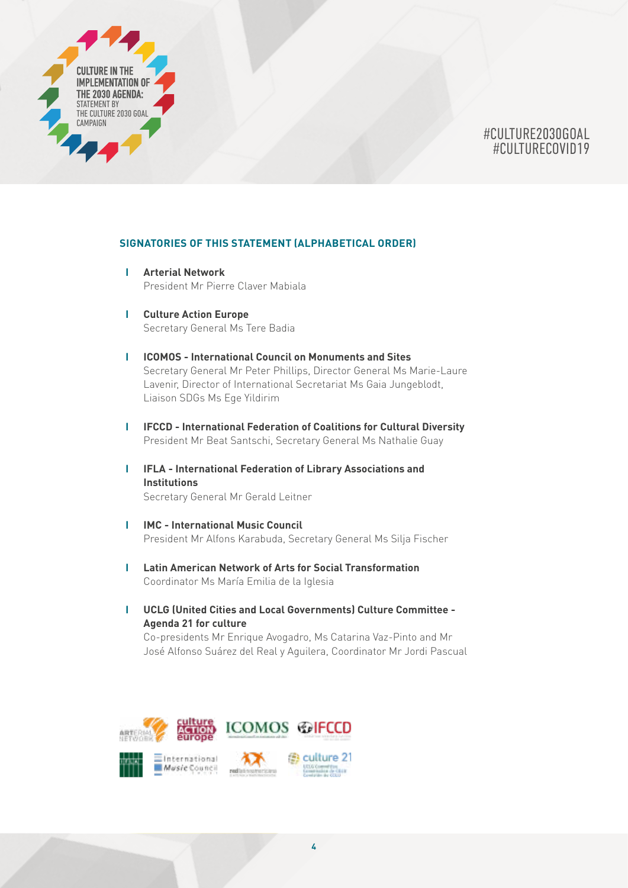

#### **SIGNATORIES OF THIS STATEMENT (ALPHABETICAL ORDER)**

- **I Arterial Network** President Mr Pierre Claver Mabiala
- **I Culture Action Europe** Secretary General Ms Tere Badia
- **I ICOMOS International Council on Monuments and Sites** Secretary General Mr Peter Phillips, Director General Ms Marie-Laure Lavenir, Director of International Secretariat Ms Gaia Jungeblodt, Liaison SDGs Ms Ege Yildirim
- **I IFCCD International Federation of Coalitions for Cultural Diversity** President Mr Beat Santschi, Secretary General Ms Nathalie Guay
- **I IFLA International Federation of Library Associations and Institutions**

Secretary General Mr Gerald Leitner

- **I IMC International Music Council** President Mr Alfons Karabuda, Secretary General Ms Silja Fischer
- **I Latin American Network of Arts for Social Transformation** Coordinator Ms María Emilia de la Iglesia
- **I UCLG (United Cities and Local Governments) Culture Committee Agenda 21 for culture**

Co-presidents Mr Enrique Avogadro, Ms Catarina Vaz-Pinto and Mr José Alfonso Suárez del Real y Aguilera, Coordinator Mr Jordi Pascual

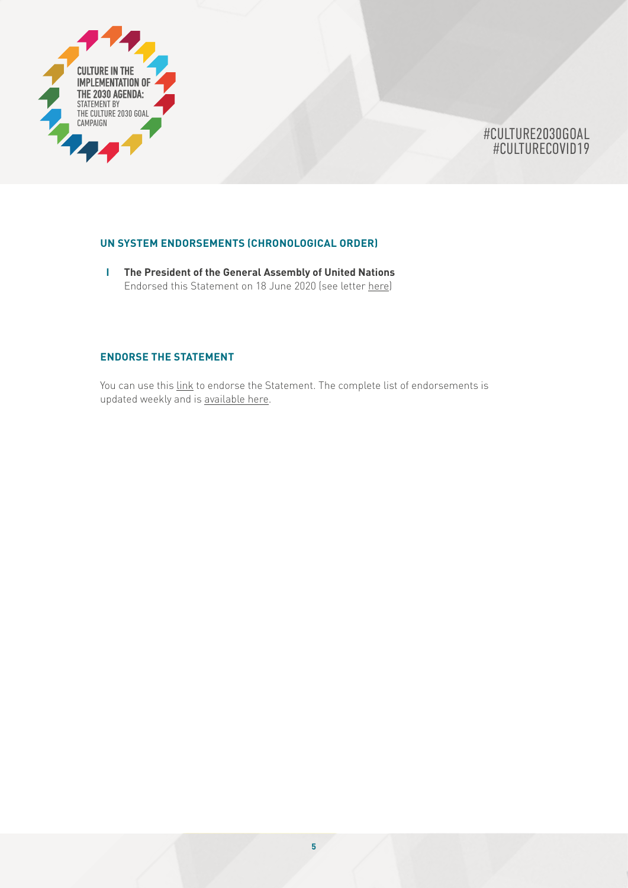

### **UN SYSTEM ENDORSEMENTS (CHRONOLOGICAL ORDER)**

**I The President of the General Assembly of United Nations** Endorsed this Statement on 18 June 2020 (see letter [here](https://www.un.org/pga/74/2020/07/01/culture-2030-goal-statement/))

## **ENDORSE THE STATEMENT**

You can use this [link](https://www.surveygizmo.com/s3/5556949/Endorsements-for-the-Statement-on-Ensuring-Culture-Fulfills-its-Potential-in-Responding-to-the-Covid-19-Pandemic) to endorse the Statement. The complete list of endorsements is updated weekly and is [available here.](http://culture2030goal.net/?page_id=254)